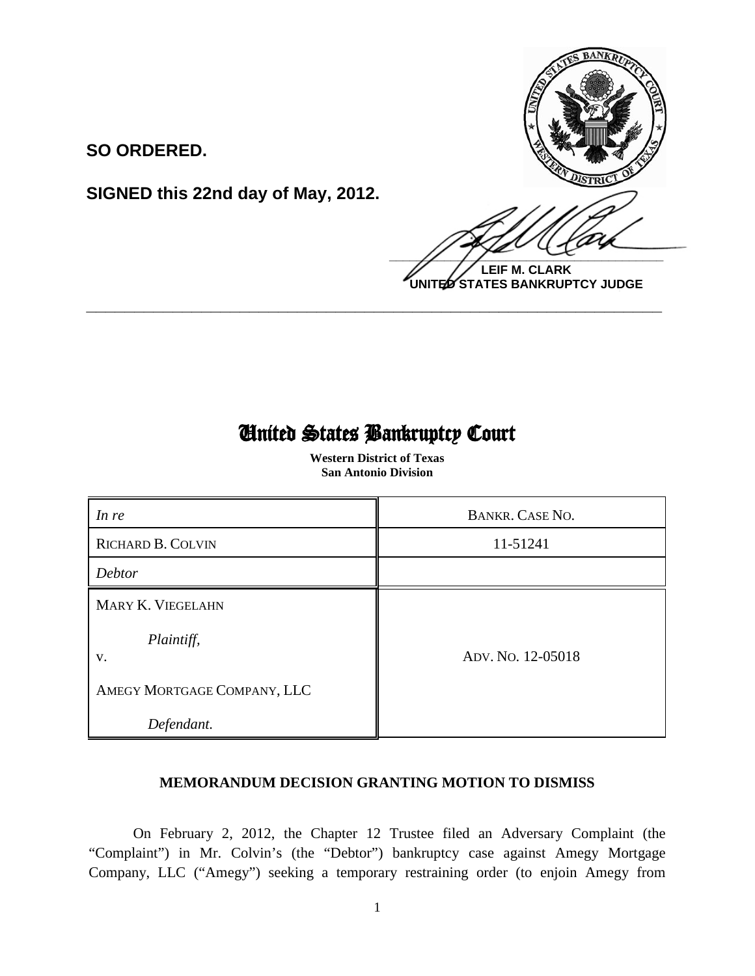

**LEIF M. CLARK UNITED STATES BANKRUPTCY JUDGE**

# United States Bankruptcy Court

 $\overline{a}$ 

**\_\_\_\_\_\_\_\_\_\_\_\_\_\_\_\_\_\_\_\_\_\_\_\_\_\_\_\_\_\_\_\_\_\_\_\_\_\_\_\_\_\_\_\_\_\_\_\_\_\_\_\_\_\_\_\_\_\_\_\_**

**SIGNED this 22nd day of May, 2012.**

**SO ORDERED.**

 **Western District of Texas San Antonio Division**

| In re                                                                | <b>BANKR. CASE NO.</b> |
|----------------------------------------------------------------------|------------------------|
| <b>RICHARD B. COLVIN</b>                                             | 11-51241               |
| Debtor                                                               |                        |
| MARY K. VIEGELAHN<br>Plaintiff,<br>V.<br>AMEGY MORTGAGE COMPANY, LLC | Apv. No. 12-05018      |
| Defendant.                                                           |                        |

# **MEMORANDUM DECISION GRANTING MOTION TO DISMISS**

On February 2, 2012, the Chapter 12 Trustee filed an Adversary Complaint (the "Complaint") in Mr. Colvin's (the "Debtor") bankruptcy case against Amegy Mortgage Company, LLC ("Amegy") seeking a temporary restraining order (to enjoin Amegy from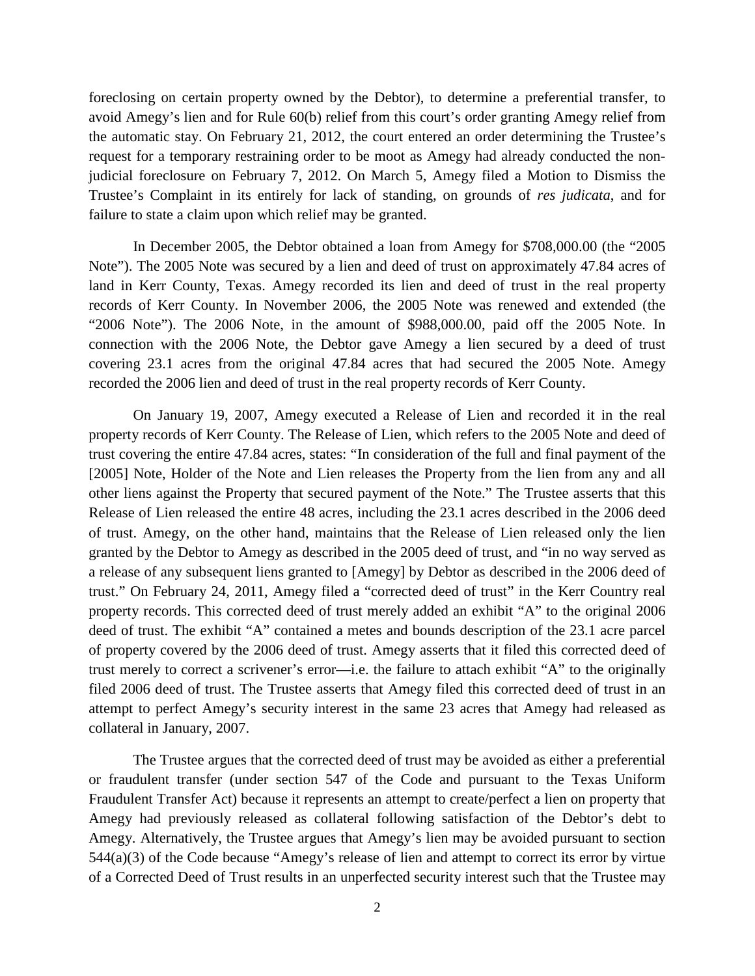foreclosing on certain property owned by the Debtor), to determine a preferential transfer, to avoid Amegy's lien and for Rule 60(b) relief from this court's order granting Amegy relief from the automatic stay. On February 21, 2012, the court entered an order determining the Trustee's request for a temporary restraining order to be moot as Amegy had already conducted the nonjudicial foreclosure on February 7, 2012. On March 5, Amegy filed a Motion to Dismiss the Trustee's Complaint in its entirely for lack of standing, on grounds of *res judicata*, and for failure to state a claim upon which relief may be granted.

In December 2005, the Debtor obtained a loan from Amegy for \$708,000.00 (the "2005 Note"). The 2005 Note was secured by a lien and deed of trust on approximately 47.84 acres of land in Kerr County, Texas. Amegy recorded its lien and deed of trust in the real property records of Kerr County. In November 2006, the 2005 Note was renewed and extended (the "2006 Note"). The 2006 Note, in the amount of \$988,000.00, paid off the 2005 Note. In connection with the 2006 Note, the Debtor gave Amegy a lien secured by a deed of trust covering 23.1 acres from the original 47.84 acres that had secured the 2005 Note. Amegy recorded the 2006 lien and deed of trust in the real property records of Kerr County.

On January 19, 2007, Amegy executed a Release of Lien and recorded it in the real property records of Kerr County. The Release of Lien, which refers to the 2005 Note and deed of trust covering the entire 47.84 acres, states: "In consideration of the full and final payment of the [2005] Note, Holder of the Note and Lien releases the Property from the lien from any and all other liens against the Property that secured payment of the Note." The Trustee asserts that this Release of Lien released the entire 48 acres, including the 23.1 acres described in the 2006 deed of trust. Amegy, on the other hand, maintains that the Release of Lien released only the lien granted by the Debtor to Amegy as described in the 2005 deed of trust, and "in no way served as a release of any subsequent liens granted to [Amegy] by Debtor as described in the 2006 deed of trust." On February 24, 2011, Amegy filed a "corrected deed of trust" in the Kerr Country real property records. This corrected deed of trust merely added an exhibit "A" to the original 2006 deed of trust. The exhibit "A" contained a metes and bounds description of the 23.1 acre parcel of property covered by the 2006 deed of trust. Amegy asserts that it filed this corrected deed of trust merely to correct a scrivener's error—i.e. the failure to attach exhibit "A" to the originally filed 2006 deed of trust. The Trustee asserts that Amegy filed this corrected deed of trust in an attempt to perfect Amegy's security interest in the same 23 acres that Amegy had released as collateral in January, 2007.

The Trustee argues that the corrected deed of trust may be avoided as either a preferential or fraudulent transfer (under section 547 of the Code and pursuant to the Texas Uniform Fraudulent Transfer Act) because it represents an attempt to create/perfect a lien on property that Amegy had previously released as collateral following satisfaction of the Debtor's debt to Amegy. Alternatively, the Trustee argues that Amegy's lien may be avoided pursuant to section 544(a)(3) of the Code because "Amegy's release of lien and attempt to correct its error by virtue of a Corrected Deed of Trust results in an unperfected security interest such that the Trustee may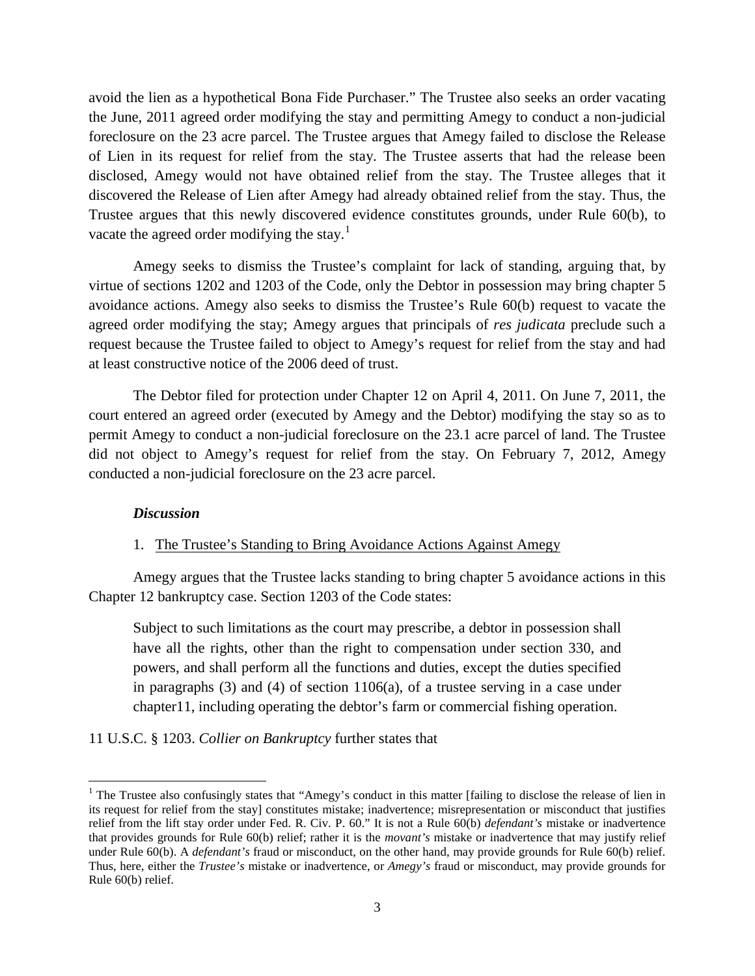avoid the lien as a hypothetical Bona Fide Purchaser." The Trustee also seeks an order vacating the June, 2011 agreed order modifying the stay and permitting Amegy to conduct a non-judicial foreclosure on the 23 acre parcel. The Trustee argues that Amegy failed to disclose the Release of Lien in its request for relief from the stay. The Trustee asserts that had the release been disclosed, Amegy would not have obtained relief from the stay. The Trustee alleges that it discovered the Release of Lien after Amegy had already obtained relief from the stay. Thus, the Trustee argues that this newly discovered evidence constitutes grounds, under Rule 60(b), to vacate the agreed order modifying the stay.<sup>[1](#page-2-0)</sup>

Amegy seeks to dismiss the Trustee's complaint for lack of standing, arguing that, by virtue of sections 1202 and 1203 of the Code, only the Debtor in possession may bring chapter 5 avoidance actions. Amegy also seeks to dismiss the Trustee's Rule 60(b) request to vacate the agreed order modifying the stay; Amegy argues that principals of *res judicata* preclude such a request because the Trustee failed to object to Amegy's request for relief from the stay and had at least constructive notice of the 2006 deed of trust.

The Debtor filed for protection under Chapter 12 on April 4, 2011. On June 7, 2011, the court entered an agreed order (executed by Amegy and the Debtor) modifying the stay so as to permit Amegy to conduct a non-judicial foreclosure on the 23.1 acre parcel of land. The Trustee did not object to Amegy's request for relief from the stay. On February 7, 2012, Amegy conducted a non-judicial foreclosure on the 23 acre parcel.

#### *Discussion*

l

## 1. The Trustee's Standing to Bring Avoidance Actions Against Amegy

Amegy argues that the Trustee lacks standing to bring chapter 5 avoidance actions in this Chapter 12 bankruptcy case. Section 1203 of the Code states:

Subject to such limitations as the court may prescribe, a debtor in possession shall have all the rights, other than the right to compensation under section 330, and powers, and shall perform all the functions and duties, except the duties specified in paragraphs (3) and (4) of section 1106(a), of a trustee serving in a case under chapter11, including operating the debtor's farm or commercial fishing operation.

11 U.S.C. § 1203. *Collier on Bankruptcy* further states that

<span id="page-2-0"></span><sup>&</sup>lt;sup>1</sup> The Trustee also confusingly states that "Amegy's conduct in this matter [failing to disclose the release of lien in its request for relief from the stay] constitutes mistake; inadvertence; misrepresentation or misconduct that justifies relief from the lift stay order under Fed. R. Civ. P. 60." It is not a Rule 60(b) *defendant's* mistake or inadvertence that provides grounds for Rule 60(b) relief; rather it is the *movant's* mistake or inadvertence that may justify relief under Rule 60(b). A *defendant's* fraud or misconduct, on the other hand, may provide grounds for Rule 60(b) relief. Thus, here, either the *Trustee's* mistake or inadvertence, or *Amegy's* fraud or misconduct, may provide grounds for Rule 60(b) relief.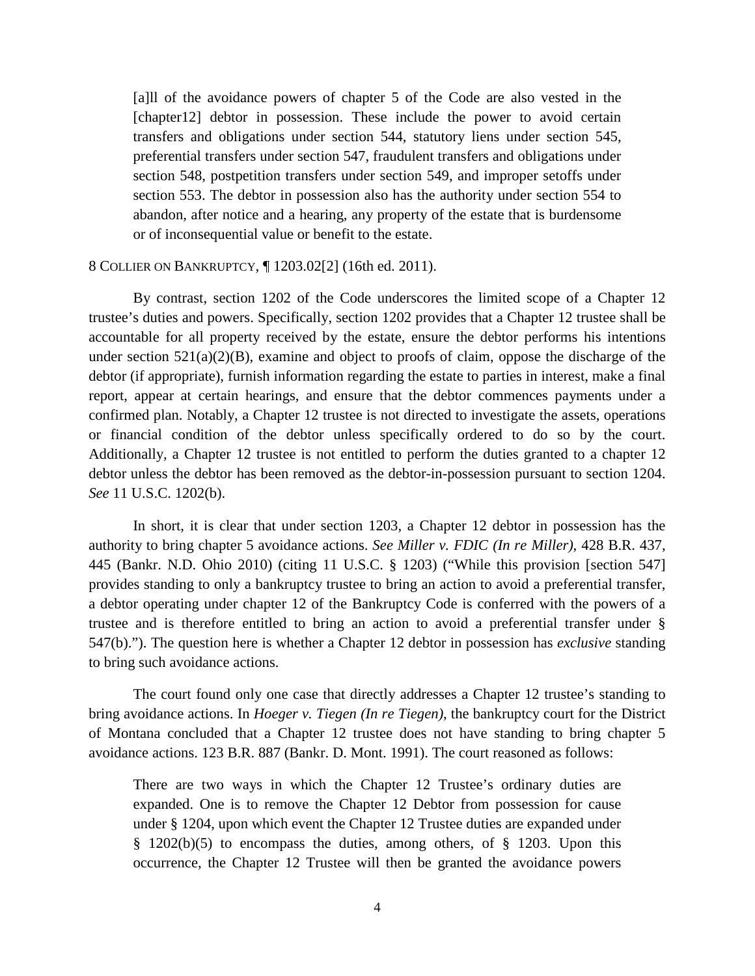[a]ll of the avoidance powers of chapter 5 of the Code are also vested in the [chapter12] debtor in possession. These include the power to avoid certain transfers and obligations under section 544, statutory liens under section 545, preferential transfers under section 547, fraudulent transfers and obligations under section 548, postpetition transfers under section 549, and improper setoffs under section 553. The debtor in possession also has the authority under section 554 to abandon, after notice and a hearing, any property of the estate that is burdensome or of inconsequential value or benefit to the estate.

## 8 COLLIER ON BANKRUPTCY, ¶ 1203.02[2] (16th ed. 2011).

By contrast, section 1202 of the Code underscores the limited scope of a Chapter 12 trustee's duties and powers. Specifically, section 1202 provides that a Chapter 12 trustee shall be accountable for all property received by the estate, ensure the debtor performs his intentions under section  $521(a)(2)(B)$ , examine and object to proofs of claim, oppose the discharge of the debtor (if appropriate), furnish information regarding the estate to parties in interest, make a final report, appear at certain hearings, and ensure that the debtor commences payments under a confirmed plan. Notably, a Chapter 12 trustee is not directed to investigate the assets, operations or financial condition of the debtor unless specifically ordered to do so by the court. Additionally, a Chapter 12 trustee is not entitled to perform the duties granted to a chapter 12 debtor unless the debtor has been removed as the debtor-in-possession pursuant to section 1204. *See* 11 U.S.C. 1202(b).

In short, it is clear that under section 1203, a Chapter 12 debtor in possession has the authority to bring chapter 5 avoidance actions. *See Miller v. FDIC (In re Miller)*, 428 B.R. 437, 445 (Bankr. N.D. Ohio 2010) (citing 11 U.S.C. § 1203) ("While this provision [section 547] provides standing to only a bankruptcy trustee to bring an action to avoid a preferential transfer, a debtor operating under chapter 12 of the Bankruptcy Code is conferred with the powers of a trustee and is therefore entitled to bring an action to avoid a preferential transfer under § 547(b)."). The question here is whether a Chapter 12 debtor in possession has *exclusive* standing to bring such avoidance actions.

The court found only one case that directly addresses a Chapter 12 trustee's standing to bring avoidance actions. In *Hoeger v. Tiegen (In re Tiegen)*, the bankruptcy court for the District of Montana concluded that a Chapter 12 trustee does not have standing to bring chapter 5 avoidance actions. 123 B.R. 887 (Bankr. D. Mont. 1991). The court reasoned as follows:

There are two ways in which the Chapter 12 Trustee's ordinary duties are expanded. One is to remove the Chapter 12 Debtor from possession for cause under § 1204, upon which event the Chapter 12 Trustee duties are expanded under § 1202(b)(5) to encompass the duties, among others, of § 1203. Upon this occurrence, the Chapter 12 Trustee will then be granted the avoidance powers